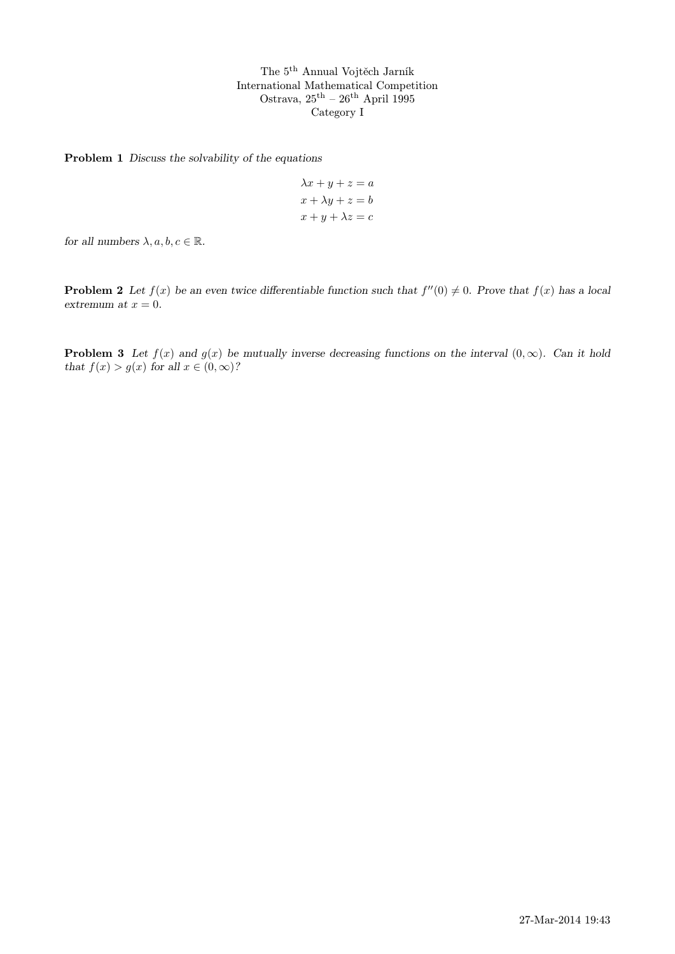The 5th Annual Vojtěch Jarník International Mathematical Competition Ostrava,  $25^{\text{th}} - 26^{\text{th}}$  April 1995 Category I

Problem 1 Discuss the solvability of the equations

$$
\lambda x + y + z = a
$$

$$
x + \lambda y + z = b
$$

$$
x + y + \lambda z = c
$$

for all numbers  $\lambda, a, b, c \in \mathbb{R}$ .

**Problem 2** Let  $f(x)$  be an even twice differentiable function such that  $f''(0) \neq 0$ . Prove that  $f(x)$  has a local extremum at  $x = 0$ .

**Problem 3** Let  $f(x)$  and  $g(x)$  be mutually inverse decreasing functions on the interval  $(0, \infty)$ . Can it hold that  $f(x) > g(x)$  for all  $x \in (0, \infty)$ ?